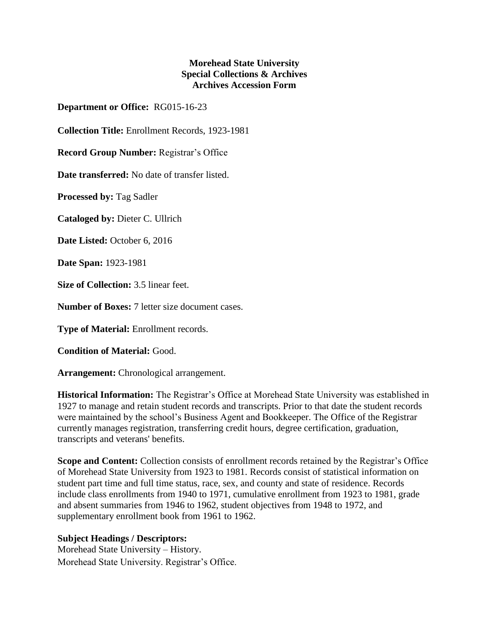## **Morehead State University Special Collections & Archives Archives Accession Form**

**Department or Office:** RG015-16-23

**Collection Title:** Enrollment Records, 1923-1981

**Record Group Number:** Registrar's Office

**Date transferred:** No date of transfer listed.

**Processed by:** Tag Sadler

**Cataloged by:** Dieter C. Ullrich

**Date Listed:** October 6, 2016

**Date Span:** 1923-1981

**Size of Collection:** 3.5 linear feet.

**Number of Boxes:** 7 letter size document cases.

**Type of Material:** Enrollment records.

**Condition of Material:** Good.

**Arrangement:** Chronological arrangement.

**Historical Information:** The Registrar's Office at Morehead State University was established in 1927 to manage and retain student records and transcripts. Prior to that date the student records were maintained by the school's Business Agent and Bookkeeper. The Office of the Registrar currently manages registration, transferring credit hours, degree certification, graduation, transcripts and veterans' benefits.

**Scope and Content:** Collection consists of enrollment records retained by the Registrar's Office of Morehead State University from 1923 to 1981. Records consist of statistical information on student part time and full time status, race, sex, and county and state of residence. Records include class enrollments from 1940 to 1971, cumulative enrollment from 1923 to 1981, grade and absent summaries from 1946 to 1962, student objectives from 1948 to 1972, and supplementary enrollment book from 1961 to 1962.

## **Subject Headings / Descriptors:**

Morehead State University – History. Morehead State University. Registrar's Office.